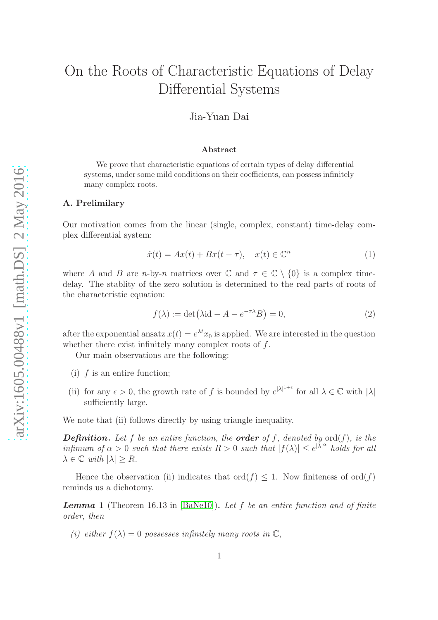# On the Roots of Characteristic Equations of Delay Differential Systems

### Jia-Yuan Dai

#### Abstract

We prove that characteristic equations of certain types of delay differential systems, under some mild conditions on their coefficients, can possess infinitely many complex roots.

#### A. Prelimilary

Our motivation comes from the linear (single, complex, constant) time-delay complex differential system:

$$
\dot{x}(t) = Ax(t) + Bx(t - \tau), \quad x(t) \in \mathbb{C}^n \tag{1}
$$

where A and B are n-by-n matrices over  $\mathbb C$  and  $\tau \in \mathbb C \setminus \{0\}$  is a complex timedelay. The stablity of the zero solution is determined to the real parts of roots of the characteristic equation:

$$
f(\lambda) := \det(\lambda \mathrm{id} - A - e^{-\tau \lambda} B) = 0,\tag{2}
$$

after the exponential ansatz  $x(t) = e^{\lambda t} x_0$  is applied. We are interested in the question whether there exist infinitely many complex roots of  $f$ .

Our main observations are the following:

- (i)  $f$  is an entire function;
- (ii) for any  $\epsilon > 0$ , the growth rate of f is bounded by  $e^{|\lambda|^{1+\epsilon}}$  for all  $\lambda \in \mathbb{C}$  with  $|\lambda|$ sufficiently large.

We note that (ii) follows directly by using triangle inequality.

**Definition.** Let f be an entire function, the **order** of f, denoted by  $ord(f)$ , is the infimum of  $\alpha > 0$  such that there exists  $R > 0$  such that  $|f(\lambda)| \leq e^{|\lambda|^{\alpha}}$  holds for all  $\lambda \in \mathbb{C}$  with  $|\lambda| \geq R$ .

Hence the observation (ii) indicates that  $\text{ord}(f) \leq 1$ . Now finiteness of  $\text{ord}(f)$ reminds us a dichotomy.

<span id="page-0-0"></span>**Lemma** 1 (Theorem 16.13 in [\[BaNe10\]](#page-4-0)). Let f be an entire function and of finite order, then

(i) either  $f(\lambda) = 0$  possesses infinitely many roots in  $\mathbb{C}$ ,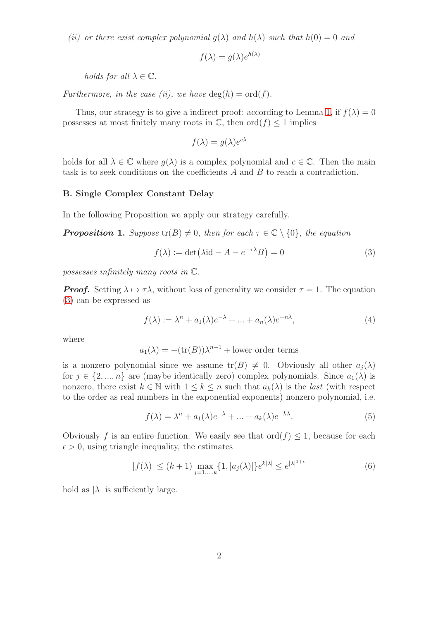(ii) or there exist complex polynomial  $q(\lambda)$  and  $h(\lambda)$  such that  $h(0) = 0$  and

$$
f(\lambda) = g(\lambda)e^{h(\lambda)}
$$

holds for all  $\lambda \in \mathbb{C}$ .

Furthermore, in the case (ii), we have  $\deg(h) = \text{ord}(f)$ .

Thus, our strategy is to give a indirect proof: according to Lemma [1,](#page-0-0) if  $f(\lambda) = 0$ possesses at most finitely many roots in  $\mathbb{C}$ , then  $\text{ord}(f) \leq 1$  implies

$$
f(\lambda) = g(\lambda)e^{c\lambda}
$$

holds for all  $\lambda \in \mathbb{C}$  where  $q(\lambda)$  is a complex polynomial and  $c \in \mathbb{C}$ . Then the main task is to seek conditions on the coefficients A and B to reach a contradiction.

#### B. Single Complex Constant Delay

In the following Proposition we apply our strategy carefully.

<span id="page-1-2"></span>**Proposition 1.** Suppose  $tr(B) \neq 0$ , then for each  $\tau \in \mathbb{C} \setminus \{0\}$ , the equation

<span id="page-1-0"></span>
$$
f(\lambda) := \det(\lambda \mathrm{id} - A - e^{-\tau \lambda} B) = 0 \tag{3}
$$

possesses infinitely many roots in C.

**Proof.** Setting  $\lambda \mapsto \tau \lambda$ , without loss of generality we consider  $\tau = 1$ . The equation [\(3\)](#page-1-0) can be expressed as

$$
f(\lambda) := \lambda^n + a_1(\lambda)e^{-\lambda} + \dots + a_n(\lambda)e^{-n\lambda}, \tag{4}
$$

where

$$
a_1(\lambda) = -(\text{tr}(B))\lambda^{n-1} + \text{lower order terms}
$$

is a nonzero polynomial since we assume  $\text{tr}(B) \neq 0$ . Obviously all other  $a_i(\lambda)$ for  $j \in \{2, ..., n\}$  are (maybe identically zero) complex polynomials. Since  $a_1(\lambda)$  is nonzero, there exist  $k \in \mathbb{N}$  with  $1 \leq k \leq n$  such that  $a_k(\lambda)$  is the *last* (with respect to the order as real numbers in the exponential exponents) nonzero polynomial, i.e.

<span id="page-1-1"></span>
$$
f(\lambda) = \lambda^n + a_1(\lambda)e^{-\lambda} + \dots + a_k(\lambda)e^{-k\lambda}.
$$
 (5)

Obviously f is an entire function. We easily see that  $\text{ord}(f) \leq 1$ , because for each  $\epsilon > 0$ , using triangle inequality, the estimates

$$
|f(\lambda)| \le (k+1) \max_{j=1,\dots,k} \{1, |a_j(\lambda)|\} e^{k|\lambda|} \le e^{|\lambda|^{1+\epsilon}}
$$
(6)

hold as  $|\lambda|$  is sufficiently large.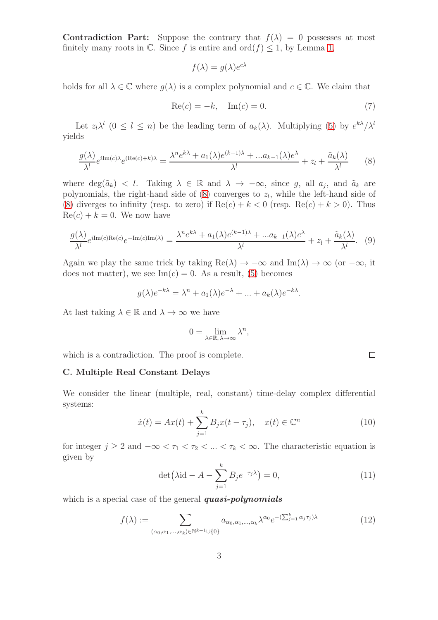Contradiction Part: Suppose the contrary that  $f(\lambda) = 0$  possesses at most finitely many roots in  $\mathbb C$ . Since f is entire and ord $(f) \leq 1$ , by Lemma [1,](#page-0-0)

$$
f(\lambda) = g(\lambda)e^{c\lambda}
$$

holds for all  $\lambda \in \mathbb{C}$  where  $q(\lambda)$  is a complex polynomial and  $c \in \mathbb{C}$ . We claim that

$$
Re(c) = -k, \quad Im(c) = 0.
$$
\n
$$
(7)
$$

Let  $z_l \lambda^l$   $(0 \le l \le n)$  be the leading term of  $a_k(\lambda)$ . Multiplying [\(5\)](#page-1-1) by  $e^{k\lambda}/\lambda^l$ yields

<span id="page-2-0"></span>
$$
\frac{g(\lambda)}{\lambda^l}e^{i\text{Im}(c)\lambda}e^{(\text{Re}(c)+k)\lambda} = \frac{\lambda^n e^{k\lambda} + a_1(\lambda)e^{(k-1)\lambda} + \dots a_{k-1}(\lambda)e^{\lambda}}{\lambda^l} + z_l + \frac{\tilde{a}_k(\lambda)}{\lambda^l}
$$
(8)

where  $deg(\tilde{a}_k) < l$ . Taking  $\lambda \in \mathbb{R}$  and  $\lambda \to -\infty$ , since g, all  $a_j$ , and  $\tilde{a}_k$  are polynomials, the right-hand side of  $(8)$  converges to  $z_l$ , while the left-hand side of [\(8\)](#page-2-0) diverges to infinity (resp. to zero) if  $\text{Re}(c) + k < 0$  (resp.  $\text{Re}(c) + k > 0$ ). Thus  $Re(c) + k = 0$ . We now have

$$
\frac{g(\lambda)}{\lambda^l}e^{i\mathrm{Im}(c)\mathrm{Re}(c)}e^{-\mathrm{Im}(c)\mathrm{Im}(\lambda)} = \frac{\lambda^n e^{k\lambda} + a_1(\lambda)e^{(k-1)\lambda} + \dots a_{k-1}(\lambda)e^{\lambda}}{\lambda^l} + z_l + \frac{\tilde{a}_k(\lambda)}{\lambda^l}.
$$
 (9)

Again we play the same trick by taking  $\text{Re}(\lambda) \to -\infty$  and  $\text{Im}(\lambda) \to \infty$  (or  $-\infty$ , it does not matter), we see  $\text{Im}(c) = 0$ . As a result, [\(5\)](#page-1-1) becomes

$$
g(\lambda)e^{-k\lambda} = \lambda^n + a_1(\lambda)e^{-\lambda} + \dots + a_k(\lambda)e^{-k\lambda}.
$$

At last taking  $\lambda \in \mathbb{R}$  and  $\lambda \to \infty$  we have

$$
0 = \lim_{\lambda \in \mathbb{R}, \lambda \to \infty} \lambda^n,
$$

which is a contradiction. The proof is complete.

#### C. Multiple Real Constant Delays

We consider the linear (multiple, real, constant) time-delay complex differential systems:

$$
\dot{x}(t) = Ax(t) + \sum_{j=1}^{k} B_j x(t - \tau_j), \quad x(t) \in \mathbb{C}^n
$$
 (10)

for integer  $j \geq 2$  and  $-\infty < \tau_1 < \tau_2 < ... < \tau_k < \infty$ . The characteristic equation is given by

<span id="page-2-2"></span>
$$
\det\left(\lambda \mathrm{id} - A - \sum_{j=1}^{k} B_j e^{-\tau_j \lambda}\right) = 0,\tag{11}
$$

which is a special case of the general quasi-polynomials

<span id="page-2-1"></span>
$$
f(\lambda) := \sum_{(\alpha_0, \alpha_1, \dots, \alpha_k) \in \mathbb{N}^{k+1} \cup \{0\}} a_{\alpha_0, \alpha_1, \dots, \alpha_k} \lambda^{\alpha_0} e^{-(\sum_{j=1}^k \alpha_j \tau_j)\lambda}
$$
(12)

 $\Box$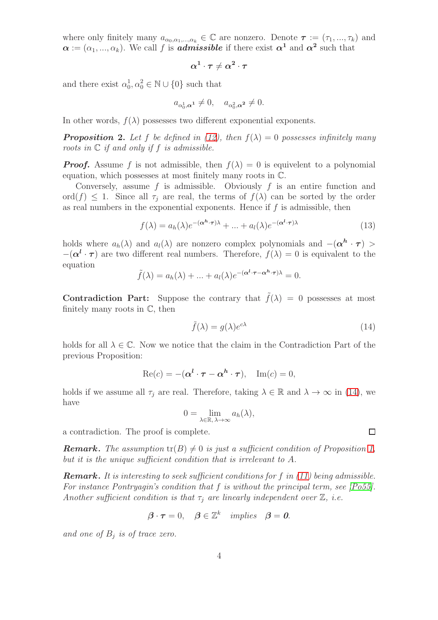where only finitely many  $a_{\alpha_0,\alpha_1,\dots,\alpha_k} \in \mathbb{C}$  are nonzero. Denote  $\tau := (\tau_1, ..., \tau_k)$  and  $\alpha := (\alpha_1, ..., \alpha_k)$ . We call f is **admissible** if there exist  $\alpha^1$  and  $\alpha^2$  such that

$$
\alpha^1\cdot\tau\neq\alpha^2\cdot\tau
$$

and there exist  $\alpha_0^1, \alpha_0^2 \in \mathbb{N} \cup \{0\}$  such that

$$
a_{\alpha_0^1,\alpha^1} \neq 0, \quad a_{\alpha_0^2,\alpha^2} \neq 0.
$$

In other words,  $f(\lambda)$  possesses two different exponential exponents.

**Proposition 2.** Let f be defined in [\(12\)](#page-2-1), then  $f(\lambda) = 0$  possesses infinitely many roots in  $\mathbb C$  if and only if f is admissible.

**Proof.** Assume f is not admissible, then  $f(\lambda) = 0$  is equivelent to a polynomial equation, which possesses at most finitely many roots in C.

Conversely, assume  $f$  is admissible. Obviously  $f$  is an entire function and ord $(f) \leq 1$ . Since all  $\tau_i$  are real, the terms of  $f(\lambda)$  can be sorted by the order as real numbers in the exponential exponents. Hence if  $f$  is admissible, then

$$
f(\lambda) = a_h(\lambda)e^{-(\alpha^h \cdot \tau)\lambda} + \dots + a_l(\lambda)e^{-(\alpha^l \cdot \tau)\lambda}
$$
\n(13)

holds where  $a_h(\lambda)$  and  $a_l(\lambda)$  are nonzero complex polynomials and  $-(\alpha^h \cdot \tau)$  >  $-(\alpha^{l} \cdot \tau)$  are two different real numbers. Therefore,  $f(\lambda) = 0$  is equivalent to the equation

$$
\tilde{f}(\lambda) = a_h(\lambda) + \dots + a_l(\lambda)e^{-(\alpha^l \cdot \tau - \alpha^h \cdot \tau)\lambda} = 0.
$$

Contradiction Part: Suppose the contrary that  $\tilde{f}(\lambda) = 0$  possesses at most finitely many roots in C, then

<span id="page-3-0"></span>
$$
\tilde{f}(\lambda) = g(\lambda)e^{c\lambda} \tag{14}
$$

holds for all  $\lambda \in \mathbb{C}$ . Now we notice that the claim in the Contradiction Part of the previous Proposition:

$$
\operatorname{Re}(c) = -(\boldsymbol{\alpha}^{\boldsymbol{l}} \cdot \boldsymbol{\tau} - \boldsymbol{\alpha}^{\boldsymbol{h}} \cdot \boldsymbol{\tau}), \quad \operatorname{Im}(c) = 0,
$$

holds if we assume all  $\tau_i$  are real. Therefore, taking  $\lambda \in \mathbb{R}$  and  $\lambda \to \infty$  in [\(14\)](#page-3-0), we have

$$
0 = \lim_{\lambda \in \mathbb{R}, \lambda \to \infty} a_h(\lambda),
$$

a contradiction. The proof is complete.

**Remark.** The assumption  $tr(B) \neq 0$  is just a sufficient condition of Proposition [1,](#page-1-2) but it is the unique sufficient condition that is irrelevant to A.

**Remark.** It is interesting to seek sufficient conditions for f in  $(11)$  being admissible. For instance Pontryagin's condition that f is without the principal term, see [\[Po55\]](#page-4-1). Another sufficient condition is that  $\tau_i$  are linearly independent over  $\mathbb{Z}$ , i.e.

$$
\boldsymbol{\beta} \cdot \boldsymbol{\tau} = 0, \quad \boldsymbol{\beta} \in \mathbb{Z}^k \quad implies \quad \boldsymbol{\beta} = \boldsymbol{0}.
$$

and one of  $B_j$  is of trace zero.

 $\Box$